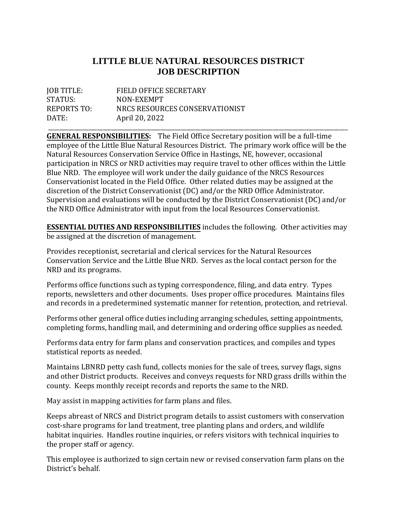## **LITTLE BLUE NATURAL RESOURCES DISTRICT JOB DESCRIPTION**

| JOB TITLE:  | FIELD OFFICE SECRETARY         |
|-------------|--------------------------------|
| STATUS:     | NON-EXEMPT                     |
| REPORTS TO: | NRCS RESOURCES CONSERVATIONIST |
| DATE:       | April 20, 2022                 |
|             |                                |

\_\_\_\_\_\_\_\_\_\_\_\_\_\_\_\_\_\_\_\_\_\_\_\_\_\_\_\_\_\_\_\_\_\_\_\_\_\_\_\_\_\_\_\_\_\_\_\_\_\_\_\_\_\_\_\_\_\_\_\_\_\_\_\_\_\_\_\_\_\_\_\_\_\_\_\_\_\_\_\_\_\_\_\_\_\_\_\_\_\_\_\_\_\_\_\_\_\_\_\_\_\_\_\_ **GENERAL RESPONSIBILITIES:** The Field Office Secretary position will be a full-time employee of the Little Blue Natural Resources District. The primary work office will be the Natural Resources Conservation Service Office in Hastings, NE, however, occasional participation in NRCS or NRD activities may require travel to other offices within the Little Blue NRD. The employee will work under the daily guidance of the NRCS Resources Conservationist located in the Field Office. Other related duties may be assigned at the discretion of the District Conservationist (DC) and/or the NRD Office Administrator. Supervision and evaluations will be conducted by the District Conservationist (DC) and/or the NRD Office Administrator with input from the local Resources Conservationist.

**ESSENTIAL DUTIES AND RESPONSIBILITIES** includes the following. Other activities may be assigned at the discretion of management.

Provides receptionist, secretarial and clerical services for the Natural Resources Conservation Service and the Little Blue NRD. Serves as the local contact person for the NRD and its programs.

Performs office functions such as typing correspondence, filing, and data entry. Types reports, newsletters and other documents. Uses proper office procedures. Maintains files and records in a predetermined systematic manner for retention, protection, and retrieval.

Performs other general office duties including arranging schedules, setting appointments, completing forms, handling mail, and determining and ordering office supplies as needed.

Performs data entry for farm plans and conservation practices, and compiles and types statistical reports as needed.

Maintains LBNRD petty cash fund, collects monies for the sale of trees, survey flags, signs and other District products. Receives and conveys requests for NRD grass drills within the county. Keeps monthly receipt records and reports the same to the NRD.

May assist in mapping activities for farm plans and files.

Keeps abreast of NRCS and District program details to assist customers with conservation cost-share programs for land treatment, tree planting plans and orders, and wildlife habitat inquiries. Handles routine inquiries, or refers visitors with technical inquiries to the proper staff or agency.

This employee is authorized to sign certain new or revised conservation farm plans on the District's behalf.